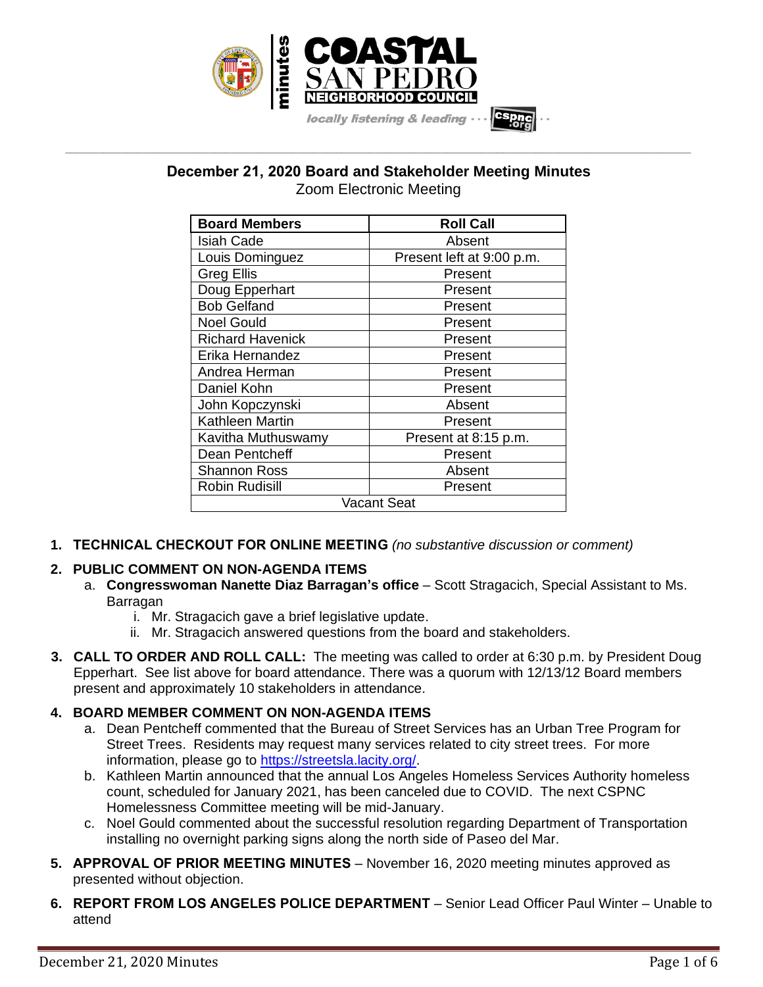

# **December 21, 2020 Board and Stakeholder Meeting Minutes** Zoom Electronic Meeting

**\_\_\_\_\_\_\_\_\_\_\_\_\_\_\_\_\_\_\_\_\_\_\_\_\_\_\_\_\_\_\_\_\_\_\_\_\_\_\_\_\_\_\_\_\_\_\_\_\_\_\_\_\_\_\_\_\_\_\_\_\_\_\_\_\_\_\_\_\_\_\_\_\_\_\_\_\_\_\_\_\_\_\_\_\_\_\_\_\_\_\_\_\_\_\_\_\_\_\_\_\_\_\_\_\_\_\_\_\_\_\_\_\_**

| <b>Board Members</b>    | <b>Roll Call</b>          |
|-------------------------|---------------------------|
| <b>Isiah Cade</b>       | Absent                    |
| Louis Dominguez         | Present left at 9:00 p.m. |
| Greg Ellis              | Present                   |
| Doug Epperhart          | Present                   |
| <b>Bob Gelfand</b>      | Present                   |
| <b>Noel Gould</b>       | Present                   |
| <b>Richard Havenick</b> | Present                   |
| Erika Hernandez         | Present                   |
| Andrea Herman           | Present                   |
| Daniel Kohn             | Present                   |
| John Kopczynski         | Absent                    |
| Kathleen Martin         | Present                   |
| Kavitha Muthuswamy      | Present at 8:15 p.m.      |
| Dean Pentcheff          | Present                   |
| Shannon Ross            | Absent                    |
| <b>Robin Rudisill</b>   | Present                   |
| Vacant Seat             |                           |

**1. TECHNICAL CHECKOUT FOR ONLINE MEETING** *(no substantive discussion or comment)*

# **2. PUBLIC COMMENT ON NON-AGENDA ITEMS**

- a. **Congresswoman Nanette Diaz Barragan's office** Scott Stragacich, Special Assistant to Ms. **Barragan** 
	- i. Mr. Stragacich gave a brief legislative update.
	- ii. Mr. Stragacich answered questions from the board and stakeholders.
- **3. CALL TO ORDER AND ROLL CALL:** The meeting was called to order at 6:30 p.m. by President Doug Epperhart. See list above for board attendance. There was a quorum with 12/13/12 Board members present and approximately 10 stakeholders in attendance.

# **4. BOARD MEMBER COMMENT ON NON-AGENDA ITEMS**

- a. Dean Pentcheff commented that the Bureau of Street Services has an Urban Tree Program for Street Trees. Residents may request many services related to city street trees. For more information, please go to [https://streetsla.lacity.org/.](https://streetsla.lacity.org/)
- b. Kathleen Martin announced that the annual Los Angeles Homeless Services Authority homeless count, scheduled for January 2021, has been canceled due to COVID. The next CSPNC Homelessness Committee meeting will be mid-January.
- c. Noel Gould commented about the successful resolution regarding Department of Transportation installing no overnight parking signs along the north side of Paseo del Mar.
- **5. APPROVAL OF PRIOR MEETING MINUTES** November 16, 2020 meeting minutes approved as presented without objection.
- **6. REPORT FROM LOS ANGELES POLICE DEPARTMENT** Senior Lead Officer Paul Winter Unable to attend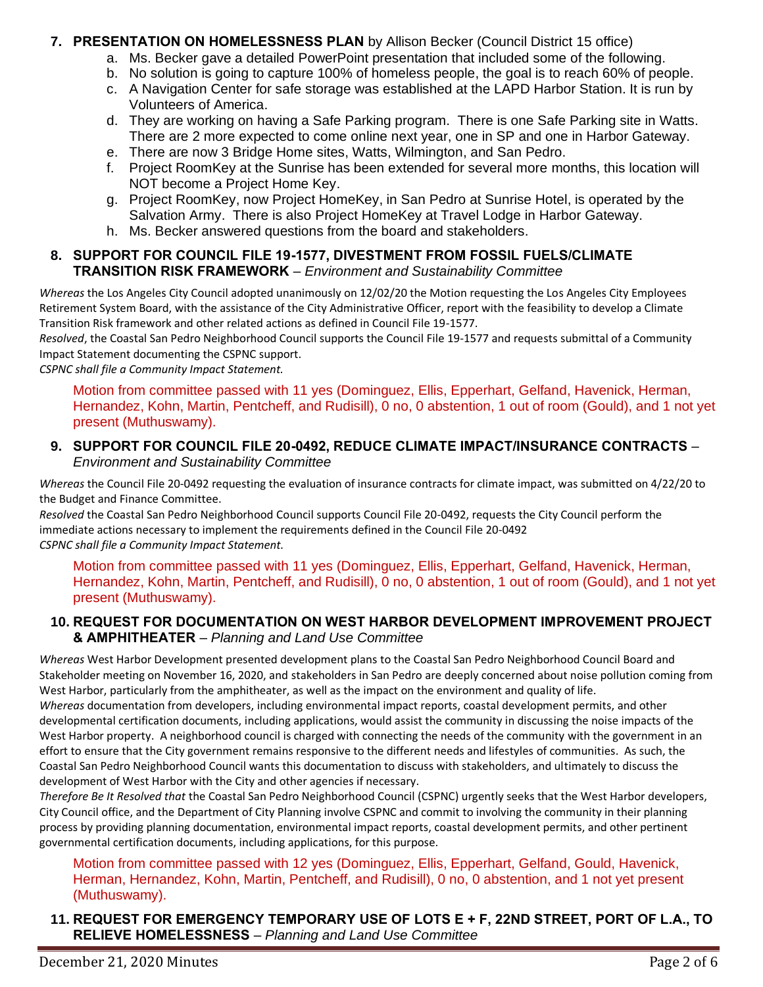### **7. PRESENTATION ON HOMELESSNESS PLAN** by Allison Becker (Council District 15 office)

- a. Ms. Becker gave a detailed PowerPoint presentation that included some of the following.
- b. No solution is going to capture 100% of homeless people, the goal is to reach 60% of people.
- c. A Navigation Center for safe storage was established at the LAPD Harbor Station. It is run by Volunteers of America.
- d. They are working on having a Safe Parking program. There is one Safe Parking site in Watts. There are 2 more expected to come online next year, one in SP and one in Harbor Gateway.
- e. There are now 3 Bridge Home sites, Watts, Wilmington, and San Pedro.
- f. Project RoomKey at the Sunrise has been extended for several more months, this location will NOT become a Project Home Key.
- g. Project RoomKey, now Project HomeKey, in San Pedro at Sunrise Hotel, is operated by the Salvation Army. There is also Project HomeKey at Travel Lodge in Harbor Gateway.
- h. Ms. Becker answered questions from the board and stakeholders.

# **8. SUPPORT FOR COUNCIL FILE 19-1577, DIVESTMENT FROM FOSSIL FUELS/CLIMATE TRANSITION RISK FRAMEWORK** – *Environment and Sustainability Committee*

*Whereas* the Los Angeles City Council adopted unanimously on 12/02/20 the Motion requesting the Los Angeles City Employees Retirement System Board, with the assistance of the City Administrative Officer, report with the feasibility to develop a Climate Transition Risk framework and other related actions as defined in Council File 19-1577.

*Resolved*, the Coastal San Pedro Neighborhood Council supports the Council File 19-1577 and requests submittal of a Community Impact Statement documenting the CSPNC support.

*CSPNC shall file a Community Impact Statement.*

Motion from committee passed with 11 yes (Dominguez, Ellis, Epperhart, Gelfand, Havenick, Herman, Hernandez, Kohn, Martin, Pentcheff, and Rudisill), 0 no, 0 abstention, 1 out of room (Gould), and 1 not yet present (Muthuswamy).

### **9. SUPPORT FOR COUNCIL FILE 20-0492, REDUCE CLIMATE IMPACT/INSURANCE CONTRACTS** – *Environment and Sustainability Committee*

*Whereas* the Council File 20-0492 requesting the evaluation of insurance contracts for climate impact, was submitted on 4/22/20 to the Budget and Finance Committee.

*Resolved* the Coastal San Pedro Neighborhood Council supports Council File 20-0492, requests the City Council perform the immediate actions necessary to implement the requirements defined in the Council File 20-0492 *CSPNC shall file a Community Impact Statement.*

Motion from committee passed with 11 yes (Dominguez, Ellis, Epperhart, Gelfand, Havenick, Herman, Hernandez, Kohn, Martin, Pentcheff, and Rudisill), 0 no, 0 abstention, 1 out of room (Gould), and 1 not yet present (Muthuswamy).

# **10. REQUEST FOR DOCUMENTATION ON WEST HARBOR DEVELOPMENT IMPROVEMENT PROJECT & AMPHITHEATER** – *Planning and Land Use Committee*

*Whereas* West Harbor Development presented development plans to the Coastal San Pedro Neighborhood Council Board and Stakeholder meeting on November 16, 2020, and stakeholders in San Pedro are deeply concerned about noise pollution coming from West Harbor, particularly from the amphitheater, as well as the impact on the environment and quality of life.

*Whereas* documentation from developers, including environmental impact reports, coastal development permits, and other developmental certification documents, including applications, would assist the community in discussing the noise impacts of the West Harbor property. A neighborhood council is charged with connecting the needs of the community with the government in an effort to ensure that the City government remains responsive to the different needs and lifestyles of communities. As such, the Coastal San Pedro Neighborhood Council wants this documentation to discuss with stakeholders, and ultimately to discuss the development of West Harbor with the City and other agencies if necessary.

*Therefore Be It Resolved that* the Coastal San Pedro Neighborhood Council (CSPNC) urgently seeks that the West Harbor developers, City Council office, and the Department of City Planning involve CSPNC and commit to involving the community in their planning process by providing planning documentation, environmental impact reports, coastal development permits, and other pertinent governmental certification documents, including applications, for this purpose.

# Motion from committee passed with 12 yes (Dominguez, Ellis, Epperhart, Gelfand, Gould, Havenick, Herman, Hernandez, Kohn, Martin, Pentcheff, and Rudisill), 0 no, 0 abstention, and 1 not yet present (Muthuswamy).

**11. REQUEST FOR EMERGENCY TEMPORARY USE OF LOTS E + F, 22ND STREET, PORT OF L.A., TO RELIEVE HOMELESSNESS** – *Planning and Land Use Committee*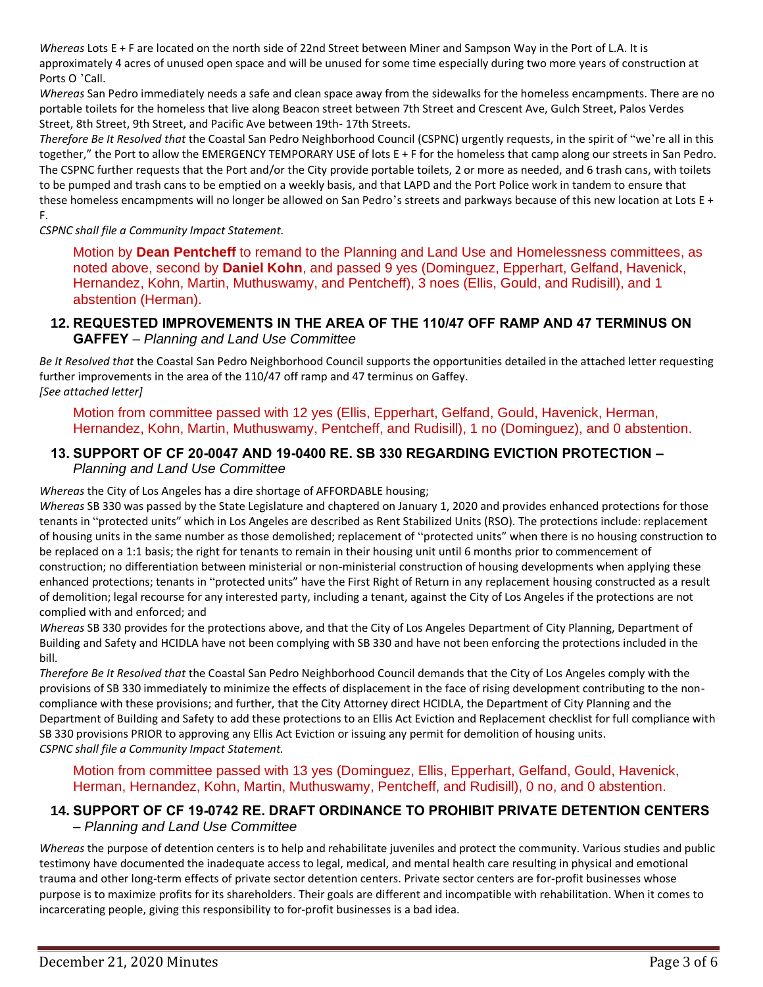*Whereas* Lots E + F are located on the north side of 22nd Street between Miner and Sampson Way in the Port of L.A. It is approximately 4 acres of unused open space and will be unused for some time especially during two more years of construction at Ports O 'Call.

*Whereas* San Pedro immediately needs a safe and clean space away from the sidewalks for the homeless encampments. There are no portable toilets for the homeless that live along Beacon street between 7th Street and Crescent Ave, Gulch Street, Palos Verdes Street, 8th Street, 9th Street, and Pacific Ave between 19th- 17th Streets.

*Therefore Be It Resolved that* the Coastal San Pedro Neighborhood Council (CSPNC) urgently requests, in the spirit of "we're all in this together," the Port to allow the EMERGENCY TEMPORARY USE of lots E + F for the homeless that camp along our streets in San Pedro. The CSPNC further requests that the Port and/or the City provide portable toilets, 2 or more as needed, and 6 trash cans, with toilets to be pumped and trash cans to be emptied on a weekly basis, and that LAPD and the Port Police work in tandem to ensure that these homeless encampments will no longer be allowed on San Pedro's streets and parkways because of this new location at Lots E + F.

*CSPNC shall file a Community Impact Statement.*

Motion by **Dean Pentcheff** to remand to the Planning and Land Use and Homelessness committees, as noted above, second by **Daniel Kohn**, and passed 9 yes (Dominguez, Epperhart, Gelfand, Havenick, Hernandez, Kohn, Martin, Muthuswamy, and Pentcheff), 3 noes (Ellis, Gould, and Rudisill), and 1 abstention (Herman).

### **12. REQUESTED IMPROVEMENTS IN THE AREA OF THE 110/47 OFF RAMP AND 47 TERMINUS ON GAFFEY** – *Planning and Land Use Committee*

*Be It Resolved that* the Coastal San Pedro Neighborhood Council supports the opportunities detailed in the attached letter requesting further improvements in the area of the 110/47 off ramp and 47 terminus on Gaffey. *[See attached letter]*

Motion from committee passed with 12 yes (Ellis, Epperhart, Gelfand, Gould, Havenick, Herman, Hernandez, Kohn, Martin, Muthuswamy, Pentcheff, and Rudisill), 1 no (Dominguez), and 0 abstention.

### **13. SUPPORT OF CF 20-0047 AND 19-0400 RE. SB 330 REGARDING EVICTION PROTECTION –** *Planning and Land Use Committee*

*Whereas* the City of Los Angeles has a dire shortage of AFFORDABLE housing;

*Whereas* SB 330 was passed by the State Legislature and chaptered on January 1, 2020 and provides enhanced protections for those tenants in "protected units" which in Los Angeles are described as Rent Stabilized Units (RSO). The protections include: replacement of housing units in the same number as those demolished; replacement of "protected units" when there is no housing construction to be replaced on a 1:1 basis; the right for tenants to remain in their housing unit until 6 months prior to commencement of construction; no differentiation between ministerial or non-ministerial construction of housing developments when applying these enhanced protections; tenants in "protected units" have the First Right of Return in any replacement housing constructed as a result of demolition; legal recourse for any interested party, including a tenant, against the City of Los Angeles if the protections are not complied with and enforced; and

*Whereas* SB 330 provides for the protections above, and that the City of Los Angeles Department of City Planning, Department of Building and Safety and HCIDLA have not been complying with SB 330 and have not been enforcing the protections included in the bill.

*Therefore Be It Resolved that* the Coastal San Pedro Neighborhood Council demands that the City of Los Angeles comply with the provisions of SB 330 immediately to minimize the effects of displacement in the face of rising development contributing to the noncompliance with these provisions; and further, that the City Attorney direct HCIDLA, the Department of City Planning and the Department of Building and Safety to add these protections to an Ellis Act Eviction and Replacement checklist for full compliance with SB 330 provisions PRIOR to approving any Ellis Act Eviction or issuing any permit for demolition of housing units. *CSPNC shall file a Community Impact Statement.*

#### Motion from committee passed with 13 yes (Dominguez, Ellis, Epperhart, Gelfand, Gould, Havenick, Herman, Hernandez, Kohn, Martin, Muthuswamy, Pentcheff, and Rudisill), 0 no, and 0 abstention.

# **14. SUPPORT OF CF 19-0742 RE. DRAFT ORDINANCE TO PROHIBIT PRIVATE DETENTION CENTERS** – *Planning and Land Use Committee*

*Whereas* the purpose of detention centers is to help and rehabilitate juveniles and protect the community. Various studies and public testimony have documented the inadequate access to legal, medical, and mental health care resulting in physical and emotional trauma and other long-term effects of private sector detention centers. Private sector centers are for-profit businesses whose purpose is to maximize profits for its shareholders. Their goals are different and incompatible with rehabilitation. When it comes to incarcerating people, giving this responsibility to for-profit businesses is a bad idea.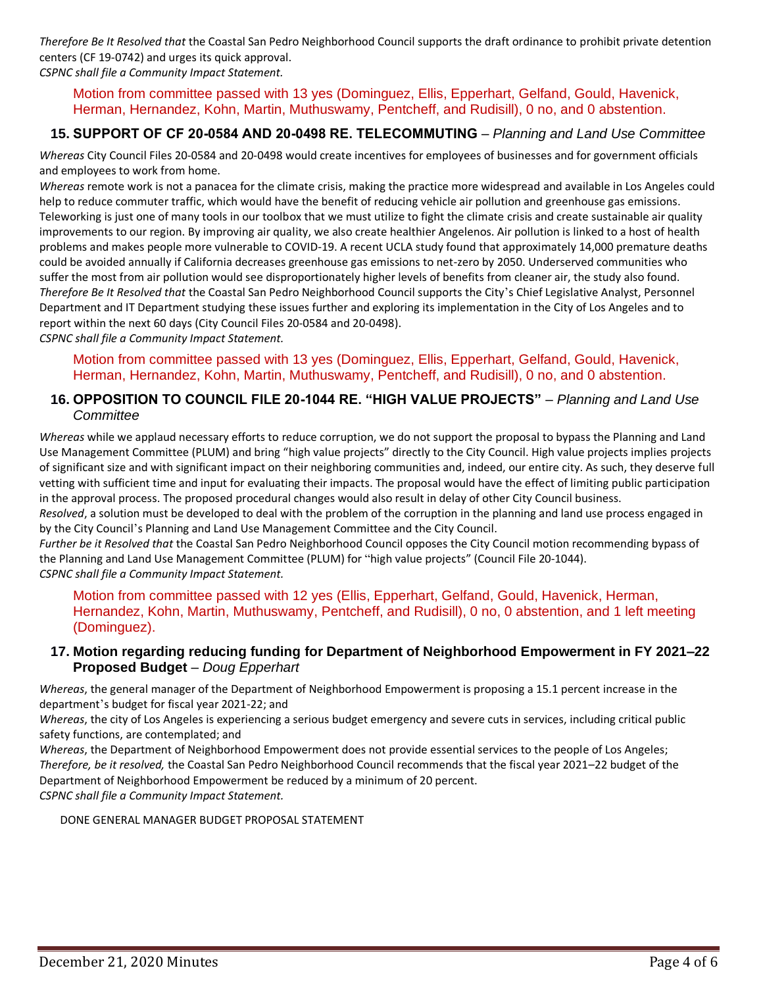*Therefore Be It Resolved that* the Coastal San Pedro Neighborhood Council supports the draft ordinance to prohibit private detention centers (CF 19-0742) and urges its quick approval. *CSPNC shall file a Community Impact Statement.*

### Motion from committee passed with 13 yes (Dominguez, Ellis, Epperhart, Gelfand, Gould, Havenick, Herman, Hernandez, Kohn, Martin, Muthuswamy, Pentcheff, and Rudisill), 0 no, and 0 abstention.

# **15. SUPPORT OF CF 20-0584 AND 20-0498 RE. TELECOMMUTING** – *Planning and Land Use Committee*

*Whereas* City Council Files 20-0584 and 20-0498 would create incentives for employees of businesses and for government officials and employees to work from home.

*Whereas* remote work is not a panacea for the climate crisis, making the practice more widespread and available in Los Angeles could help to reduce commuter traffic, which would have the benefit of reducing vehicle air pollution and greenhouse gas emissions. Teleworking is just one of many tools in our toolbox that we must utilize to fight the climate crisis and create sustainable air quality improvements to our region. By improving air quality, we also create healthier Angelenos. Air pollution is linked to a host of health problems and makes people more vulnerable to COVID-19. A recent UCLA study found that approximately 14,000 premature deaths could be avoided annually if California decreases greenhouse gas emissions to net-zero by 2050. Underserved communities who suffer the most from air pollution would see disproportionately higher levels of benefits from cleaner air, the study also found. *Therefore Be It Resolved that* the Coastal San Pedro Neighborhood Council supports the City 's Chief Legislative Analyst, Personnel Department and IT Department studying these issues further and exploring its implementation in the City of Los Angeles and to report within the next 60 days (City Council Files 20-0584 and 20-0498).

*CSPNC shall file a Community Impact Statement.*

Motion from committee passed with 13 yes (Dominguez, Ellis, Epperhart, Gelfand, Gould, Havenick, Herman, Hernandez, Kohn, Martin, Muthuswamy, Pentcheff, and Rudisill), 0 no, and 0 abstention.

#### **16. OPPOSITION TO COUNCIL FILE 20-1044 RE. "HIGH VALUE PROJECTS"** – *Planning and Land Use Committee*

*Whereas* while we applaud necessary efforts to reduce corruption, we do not support the proposal to bypass the Planning and Land Use Management Committee (PLUM) and bring "high value projects" directly to the City Council. High value projects implies projects of significant size and with significant impact on their neighboring communities and, indeed, our entire city. As such, they deserve full vetting with sufficient time and input for evaluating their impacts. The proposal would have the effect of limiting public participation in the approval process. The proposed procedural changes would also result in delay of other City Council business.

*Resolved*, a solution must be developed to deal with the problem of the corruption in the planning and land use process engaged in by the City Council 's Planning and Land Use Management Committee and the City Council.

*Further be it Resolved that* the Coastal San Pedro Neighborhood Council opposes the City Council motion recommending bypass of the Planning and Land Use Management Committee (PLUM) for "high value projects" (Council File 20-1044). *CSPNC shall file a Community Impact Statement.*

Motion from committee passed with 12 yes (Ellis, Epperhart, Gelfand, Gould, Havenick, Herman, Hernandez, Kohn, Martin, Muthuswamy, Pentcheff, and Rudisill), 0 no, 0 abstention, and 1 left meeting (Dominguez).

#### **17. Motion regarding reducing funding for Department of Neighborhood Empowerment in FY 2021–22 Proposed Budget** – *Doug Epperhart*

*Whereas*, the general manager of the Department of Neighborhood Empowerment is proposing a 15.1 percent increase in the department's budget for fiscal year 2021-22; and

*Whereas*, the city of Los Angeles is experiencing a serious budget emergency and severe cuts in services, including critical public safety functions, are contemplated; and

*Whereas*, the Department of Neighborhood Empowerment does not provide essential services to the people of Los Angeles; *Therefore, be it resolved,* the Coastal San Pedro Neighborhood Council recommends that the fiscal year 2021–22 budget of the Department of Neighborhood Empowerment be reduced by a minimum of 20 percent.

*CSPNC shall file a Community Impact Statement.*

DONE GENERAL MANAGER BUDGET PROPOSAL STATEMENT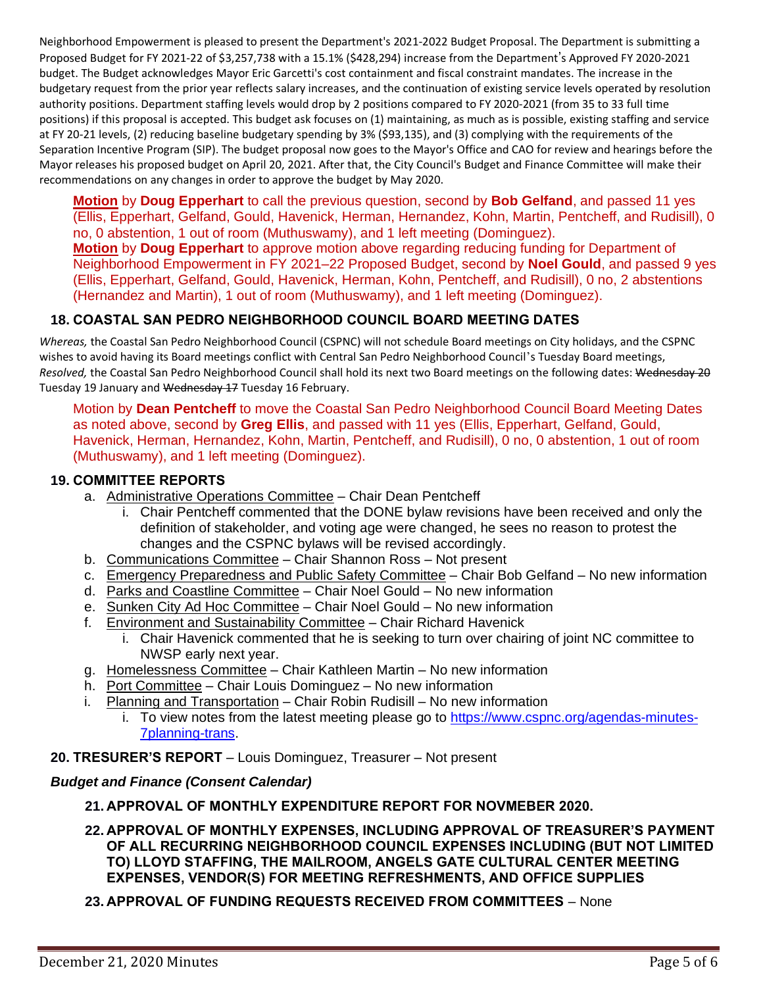Neighborhood Empowerment is pleased to present the Department's 2021-2022 Budget Proposal. The Department is submitting a Proposed Budget for FY 2021-22 of \$3,257,738 with a 15.1% (\$428,294) increase from the Department's Approved FY 2020-2021 budget. The Budget acknowledges Mayor Eric Garcetti's cost containment and fiscal constraint mandates. The increase in the budgetary request from the prior year reflects salary increases, and the continuation of existing service levels operated by resolution authority positions. Department staffing levels would drop by 2 positions compared to FY 2020-2021 (from 35 to 33 full time positions) if this proposal is accepted. This budget ask focuses on (1) maintaining, as much as is possible, existing staffing and service at FY 20-21 levels, (2) reducing baseline budgetary spending by 3% (\$93,135), and (3) complying with the requirements of the Separation Incentive Program (SIP). The budget proposal now goes to the Mayor's Office and CAO for review and hearings before the Mayor releases his proposed budget on April 20, 2021. After that, the City Council's Budget and Finance Committee will make their recommendations on any changes in order to approve the budget by May 2020.

**Motion** by **Doug Epperhart** to call the previous question, second by **Bob Gelfand**, and passed 11 yes (Ellis, Epperhart, Gelfand, Gould, Havenick, Herman, Hernandez, Kohn, Martin, Pentcheff, and Rudisill), 0 no, 0 abstention, 1 out of room (Muthuswamy), and 1 left meeting (Dominguez). **Motion** by **Doug Epperhart** to approve motion above regarding reducing funding for Department of Neighborhood Empowerment in FY 2021–22 Proposed Budget, second by **Noel Gould**, and passed 9 yes (Ellis, Epperhart, Gelfand, Gould, Havenick, Herman, Kohn, Pentcheff, and Rudisill), 0 no, 2 abstentions

# (Hernandez and Martin), 1 out of room (Muthuswamy), and 1 left meeting (Dominguez).

# **18. COASTAL SAN PEDRO NEIGHBORHOOD COUNCIL BOARD MEETING DATES**

*Whereas,* the Coastal San Pedro Neighborhood Council (CSPNC) will not schedule Board meetings on City holidays, and the CSPNC wishes to avoid having its Board meetings conflict with Central San Pedro Neighborhood Council's Tuesday Board meetings, *Resolved,* the Coastal San Pedro Neighborhood Council shall hold its next two Board meetings on the following dates: Wednesday 20 Tuesday 19 January and Wednesday 17 Tuesday 16 February.

Motion by **Dean Pentcheff** to move the Coastal San Pedro Neighborhood Council Board Meeting Dates as noted above, second by **Greg Ellis**, and passed with 11 yes (Ellis, Epperhart, Gelfand, Gould, Havenick, Herman, Hernandez, Kohn, Martin, Pentcheff, and Rudisill), 0 no, 0 abstention, 1 out of room (Muthuswamy), and 1 left meeting (Dominguez).

#### **19. COMMITTEE REPORTS**

- a. Administrative Operations Committee Chair Dean Pentcheff
	- i. Chair Pentcheff commented that the DONE bylaw revisions have been received and only the definition of stakeholder, and voting age were changed, he sees no reason to protest the changes and the CSPNC bylaws will be revised accordingly.
- b. Communications Committee Chair Shannon Ross Not present
- c. Emergency Preparedness and Public Safety Committee Chair Bob Gelfand No new information
- d. Parks and Coastline Committee Chair Noel Gould No new information
- e. Sunken City Ad Hoc Committee Chair Noel Gould No new information
- f. Environment and Sustainability Committee Chair Richard Havenick
	- i. Chair Havenick commented that he is seeking to turn over chairing of joint NC committee to NWSP early next year.
- g. Homelessness Committee Chair Kathleen Martin No new information
- h. Port Committee Chair Louis Dominguez No new information
- i. Planning and Transportation Chair Robin Rudisill No new information
	- i. To view notes from the latest meeting please go to [https://www.cspnc.org/agendas-minutes-](https://www.cspnc.org/agendas-minutes-7planning-trans)[7planning-trans.](https://www.cspnc.org/agendas-minutes-7planning-trans)

### **20. TRESURER'S REPORT** – Louis Dominguez, Treasurer – Not present

### *Budget and Finance (Consent Calendar)*

### **21. APPROVAL OF MONTHLY EXPENDITURE REPORT FOR NOVMEBER 2020.**

**22. APPROVAL OF MONTHLY EXPENSES, INCLUDING APPROVAL OF TREASURER'S PAYMENT OF ALL RECURRING NEIGHBORHOOD COUNCIL EXPENSES INCLUDING (BUT NOT LIMITED TO) LLOYD STAFFING, THE MAILROOM, ANGELS GATE CULTURAL CENTER MEETING EXPENSES, VENDOR(S) FOR MEETING REFRESHMENTS, AND OFFICE SUPPLIES**

# **23. APPROVAL OF FUNDING REQUESTS RECEIVED FROM COMMITTEES** – None